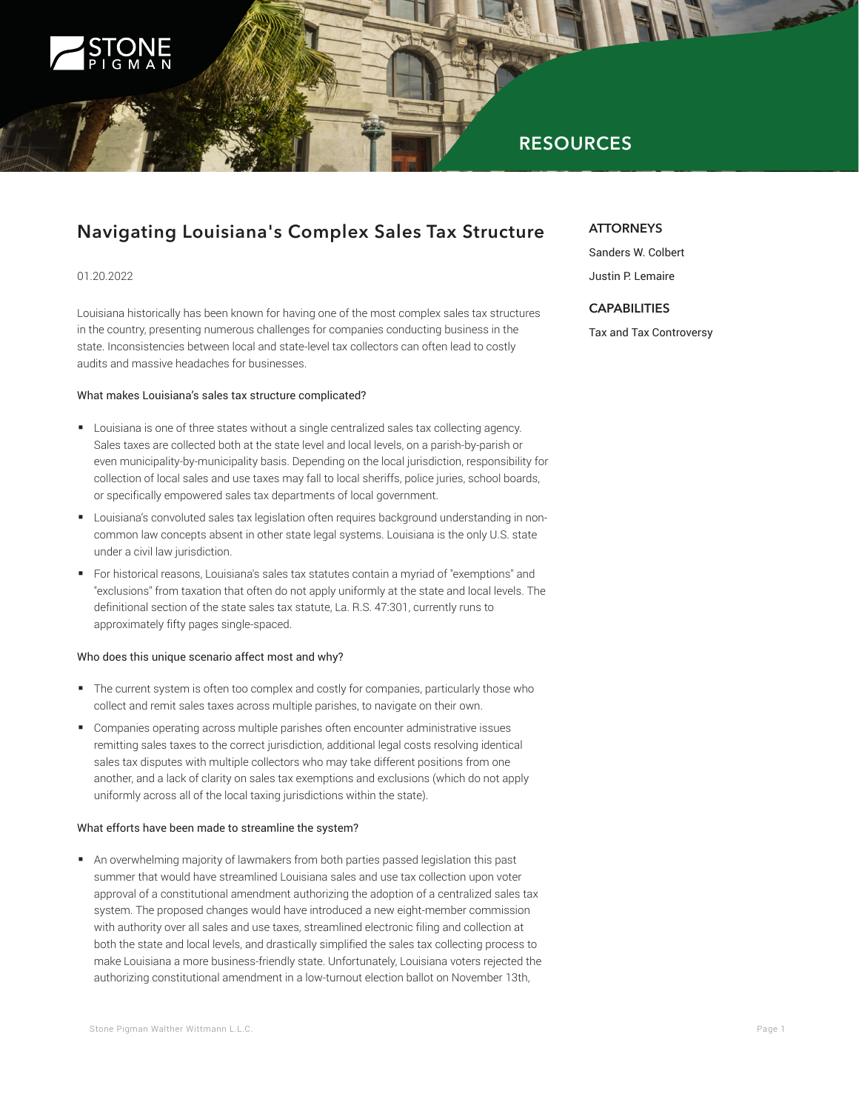

## **RESOURCES**

# **Navigating Louisiana's Complex Sales Tax Structure**

#### 01.20.2022

Louisiana historically has been known for having one of the most complex sales tax structures in the country, presenting numerous challenges for companies conducting business in the state. Inconsistencies between local and state-level tax collectors can often lead to costly audits and massive headaches for businesses.

#### What makes Louisiana's sales tax structure complicated?

- Louisiana is one of three states without a single centralized sales tax collecting agency. Sales taxes are collected both at the state level and local levels, on a parish-by-parish or even municipality-by-municipality basis. Depending on the local jurisdiction, responsibility for collection of local sales and use taxes may fall to local sheriffs, police juries, school boards, or specifically empowered sales tax departments of local government.
- Louisiana's convoluted sales tax legislation often requires background understanding in noncommon law concepts absent in other state legal systems. Louisiana is the only U.S. state under a civil law jurisdiction.
- For historical reasons, Louisiana's sales tax statutes contain a myriad of "exemptions" and "exclusions" from taxation that often do not apply uniformly at the state and local levels. The definitional section of the state sales tax statute, La. R.S. 47:301, currently runs to approximately fifty pages single-spaced.

#### Who does this unique scenario affect most and why?

- The current system is often too complex and costly for companies, particularly those who collect and remit sales taxes across multiple parishes, to navigate on their own.
- Companies operating across multiple parishes often encounter administrative issues remitting sales taxes to the correct jurisdiction, additional legal costs resolving identical sales tax disputes with multiple collectors who may take different positions from one another, and a lack of clarity on sales tax exemptions and exclusions (which do not apply uniformly across all of the local taxing jurisdictions within the state).

#### What efforts have been made to streamline the system?

■ An overwhelming majority of lawmakers from both parties passed legislation this past summer that would have streamlined Louisiana sales and use tax collection upon voter approval of a constitutional amendment authorizing the adoption of a centralized sales tax system. The proposed changes would have introduced a new eight-member commission with authority over all sales and use taxes, streamlined electronic filing and collection at both the state and local levels, and drastically simplified the sales tax collecting process to make Louisiana a more business-friendly state. Unfortunately, Louisiana voters rejected the authorizing constitutional amendment in a low-turnout election ballot on November 13th,

## **ATTORNEYS**

Sanders W. Colbert Justin P. Lemaire

## **CAPABILITIES**

Tax and Tax Controversy